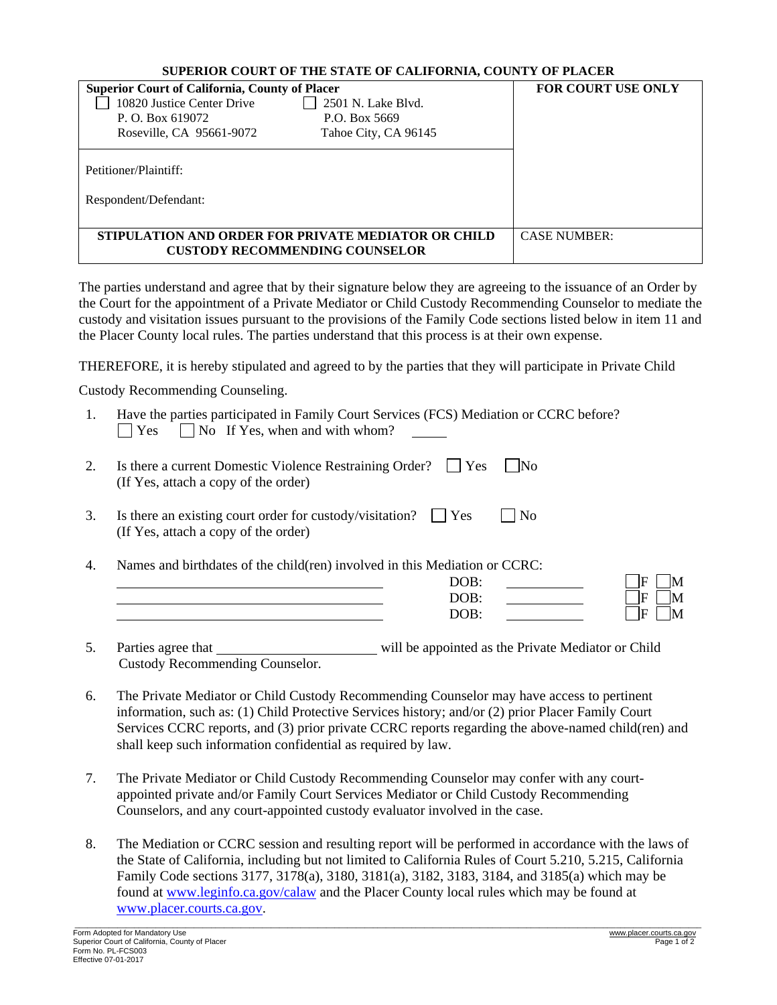| <b>Superior Court of California, County of Placer</b><br>10820 Justice Center Drive<br>2501 N. Lake Blyd.<br>P.O. Box 5669<br>P. O. Box 619072<br>Roseville, CA 95661-9072<br>Tahoe City, CA 96145 |  | <b>FOR COURT USE ONLY</b> |
|----------------------------------------------------------------------------------------------------------------------------------------------------------------------------------------------------|--|---------------------------|
| Petitioner/Plaintiff:<br>Respondent/Defendant:                                                                                                                                                     |  |                           |
| STIPULATION AND ORDER FOR PRIVATE MEDIATOR OR CHILD<br><b>CUSTODY RECOMMENDING COUNSELOR</b>                                                                                                       |  | <b>CASE NUMBER:</b>       |

The parties understand and agree that by their signature below they are agreeing to the issuance of an Order by the Court for the appointment of a Private Mediator or Child Custody Recommending Counselor to mediate the custody and visitation issues pursuant to the provisions of the Family Code sections listed below in item 11 and the Placer County local rules. The parties understand that this process is at their own expense.

THEREFORE, it is hereby stipulated and agreed to by the parties that they will participate in Private Child

Custody Recommending Counseling.

| Have the parties participated in Family Court Services (FCS) Mediation or CCRC before? |
|----------------------------------------------------------------------------------------|
| $ $ $ $ $Yes$ $ $ $ $ No If Yes, when and with whom?                                   |

| Is there a current Domestic Violence Restraining Order? $\Box$ Yes $\Box$ No |  |
|------------------------------------------------------------------------------|--|
| (If Yes, attach a copy of the order)                                         |  |

- 3. Is there an existing court order for custody/visitation?  $\Box$  Yes  $\Box$  No (If Yes, attach a copy of the order)
- 4. Names and birthdates of the child(ren) involved in this Mediation or CCRC:

| n o n<br>DUD                      |          |
|-----------------------------------|----------|
| <b>ND</b><br>$\ddot{\phantom{0}}$ | ⊢<br>N/1 |
| ס∩                                | ь        |

5. Parties agree that will be appointed as the Private Mediator or Child Custody Recommending Counselor.

- 6. The Private Mediator or Child Custody Recommending Counselor may have access to pertinent information, such as: (1) Child Protective Services history; and/or (2) prior Placer Family Court Services CCRC reports, and (3) prior private CCRC reports regarding the above-named child(ren) and shall keep such information confidential as required by law.
- 7. The Private Mediator or Child Custody Recommending Counselor may confer with any courtappointed private and/or Family Court Services Mediator or Child Custody Recommending Counselors, and any court-appointed custody evaluator involved in the case.
- 8. The Mediation or CCRC session and resulting report will be performed in accordance with the laws of the State of California, including but not limited to California Rules of Court 5.210, 5.215, California Family Code sections 3177, 3178(a), 3180, 3181(a), 3182, 3183, 3184, and 3185(a) which may be found at [www.leginfo.ca.gov/calaw](http://www.leginfo.ca.gov/calaw) and the Placer County local rules which may be found at [www.placer.courts.ca.gov.](http://www.placer.courts.ca.gov/)